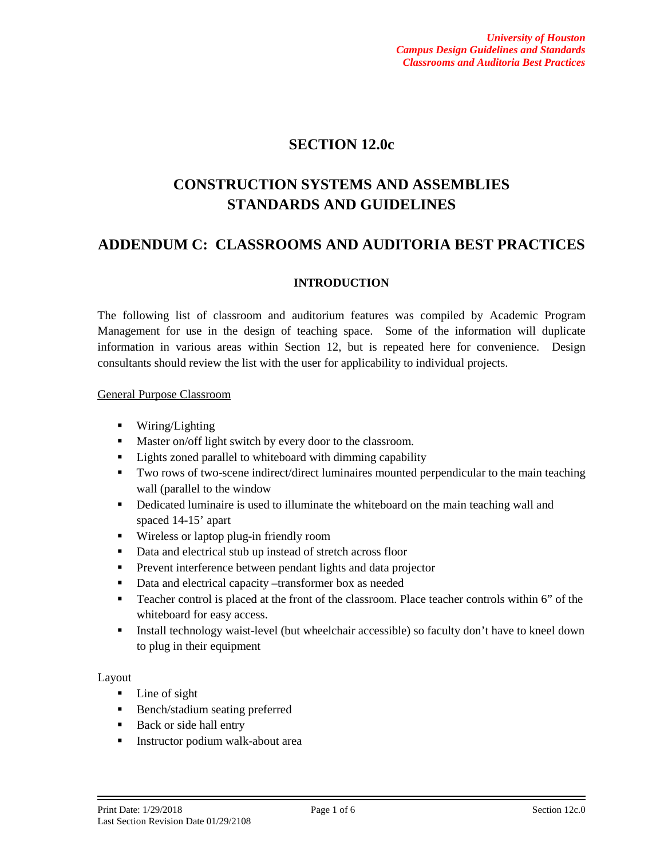## **SECTION 12.0c**

# **CONSTRUCTION SYSTEMS AND ASSEMBLIES STANDARDS AND GUIDELINES**

## **ADDENDUM C: CLASSROOMS AND AUDITORIA BEST PRACTICES**

## **INTRODUCTION**

The following list of classroom and auditorium features was compiled by Academic Program Management for use in the design of teaching space. Some of the information will duplicate information in various areas within Section 12, but is repeated here for convenience. Design consultants should review the list with the user for applicability to individual projects.

#### General Purpose Classroom

- **Wiring/Lighting**
- **Master on/off light switch by every door to the classroom.**
- **EXECUTE:** Lights zoned parallel to whiteboard with dimming capability
- Two rows of two-scene indirect/direct luminaires mounted perpendicular to the main teaching wall (parallel to the window
- **•** Dedicated luminaire is used to illuminate the whiteboard on the main teaching wall and spaced 14-15' apart
- Wireless or laptop plug-in friendly room
- Data and electrical stub up instead of stretch across floor
- **Prevent interference between pendant lights and data projector**
- Data and electrical capacity –transformer box as needed
- **Teacher control is placed at the front of the classroom. Place teacher controls within 6" of the** whiteboard for easy access.
- Install technology waist-level (but wheelchair accessible) so faculty don't have to kneel down to plug in their equipment

#### Layout

- Line of sight
- **Bench/stadium seating preferred**
- Back or side hall entry
- **Instructor podium walk-about area**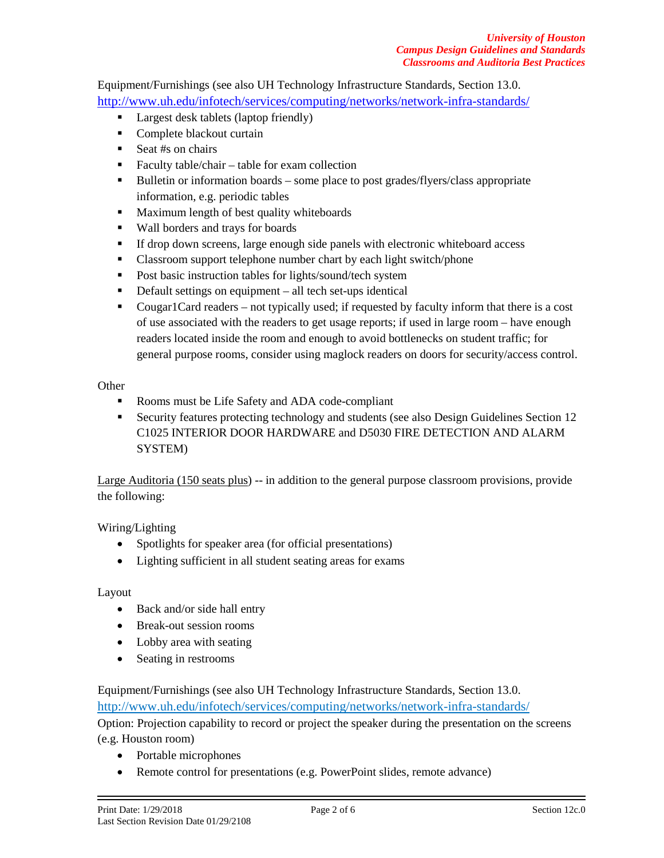Equipment/Furnishings (see also UH Technology Infrastructure Standards, Section 13.0. <http://www.uh.edu/infotech/services/computing/networks/network-infra-standards/>

- **Largest desk tablets (laptop friendly)**
- Complete blackout curtain
- Seat  $#s$  on chairs
- Faculty table/chair table for exam collection
- Bulletin or information boards some place to post grades/flyers/class appropriate information, e.g. periodic tables
- **Maximum length of best quality whiteboards**
- Wall borders and trays for boards
- If drop down screens, large enough side panels with electronic whiteboard access
- Classroom support telephone number chart by each light switch/phone
- **Post basic instruction tables for lights/sound/tech system**
- Default settings on equipment all tech set-ups identical
- Cougar1Card readers not typically used; if requested by faculty inform that there is a cost of use associated with the readers to get usage reports; if used in large room – have enough readers located inside the room and enough to avoid bottlenecks on student traffic; for general purpose rooms, consider using maglock readers on doors for security/access control.

**Other** 

- Rooms must be Life Safety and ADA code-compliant
- Security features protecting technology and students (see also Design Guidelines Section 12 C1025 INTERIOR DOOR HARDWARE and D5030 FIRE DETECTION AND ALARM SYSTEM)

Large Auditoria (150 seats plus) -- in addition to the general purpose classroom provisions, provide the following:

Wiring/Lighting

- Spotlights for speaker area (for official presentations)
- Lighting sufficient in all student seating areas for exams

#### Layout

- Back and/or side hall entry
- Break-out session rooms
- Lobby area with seating
- Seating in restrooms

Equipment/Furnishings (see also UH Technology Infrastructure Standards, Section 13.0. <http://www.uh.edu/infotech/services/computing/networks/network-infra-standards/> Option: Projection capability to record or project the speaker during the presentation on the screens (e.g. Houston room)

- Portable microphones
- Remote control for presentations (e.g. PowerPoint slides, remote advance)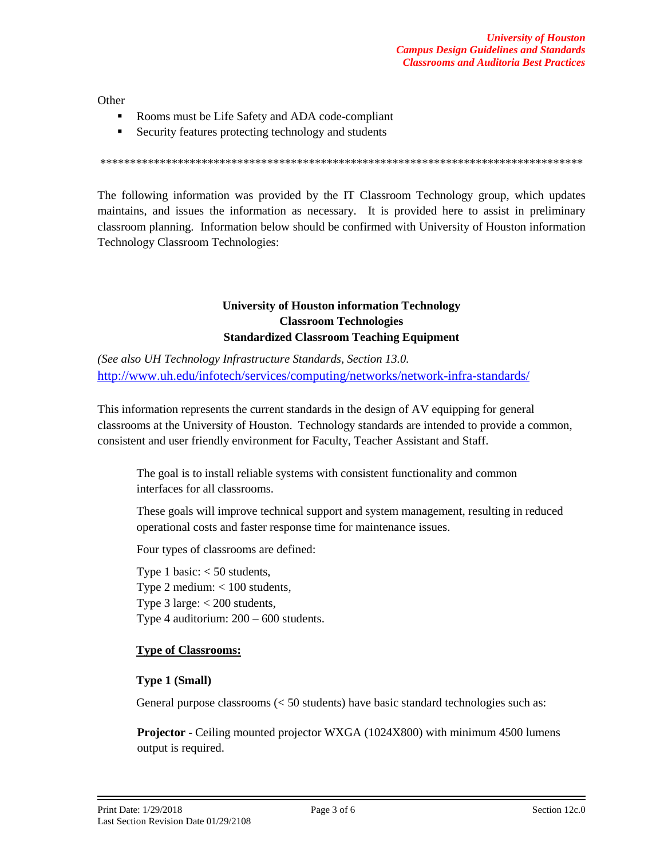**Other** 

- Rooms must be Life Safety and ADA code-compliant
- Security features protecting technology and students

\*\*\*\*\*\*\*\*\*\*\*\*\*\*\*\*\*\*\*\*\*\*\*\*\*\*\*\*\*\*\*\*\*\*\*\*\*\*\*\*\*\*\*\*\*\*\*\*\*\*\*\*\*\*\*\*\*\*\*\*\*\*\*\*\*\*\*\*\*\*\*\*\*\*\*\*\*\*\*\*\*

The following information was provided by the IT Classroom Technology group, which updates maintains, and issues the information as necessary. It is provided here to assist in preliminary classroom planning. Information below should be confirmed with University of Houston information Technology Classroom Technologies:

## **University of Houston information Technology Classroom Technologies Standardized Classroom Teaching Equipment**

*(See also UH Technology Infrastructure Standards, Section 13.0.*  <http://www.uh.edu/infotech/services/computing/networks/network-infra-standards/>

This information represents the current standards in the design of AV equipping for general classrooms at the University of Houston. Technology standards are intended to provide a common, consistent and user friendly environment for Faculty, Teacher Assistant and Staff.

The goal is to install reliable systems with consistent functionality and common interfaces for all classrooms.

These goals will improve technical support and system management, resulting in reduced operational costs and faster response time for maintenance issues.

Four types of classrooms are defined:

Type 1 basic:  $<$  50 students, Type 2 medium:  $< 100$  students, Type 3 large:  $<$  200 students, Type 4 auditorium: 200 – 600 students.

#### **Type of Classrooms:**

#### **Type 1 (Small)**

General purpose classrooms  $\ll$  50 students) have basic standard technologies such as:

**Projector** - Ceiling mounted projector WXGA (1024X800) with minimum 4500 lumens output is required.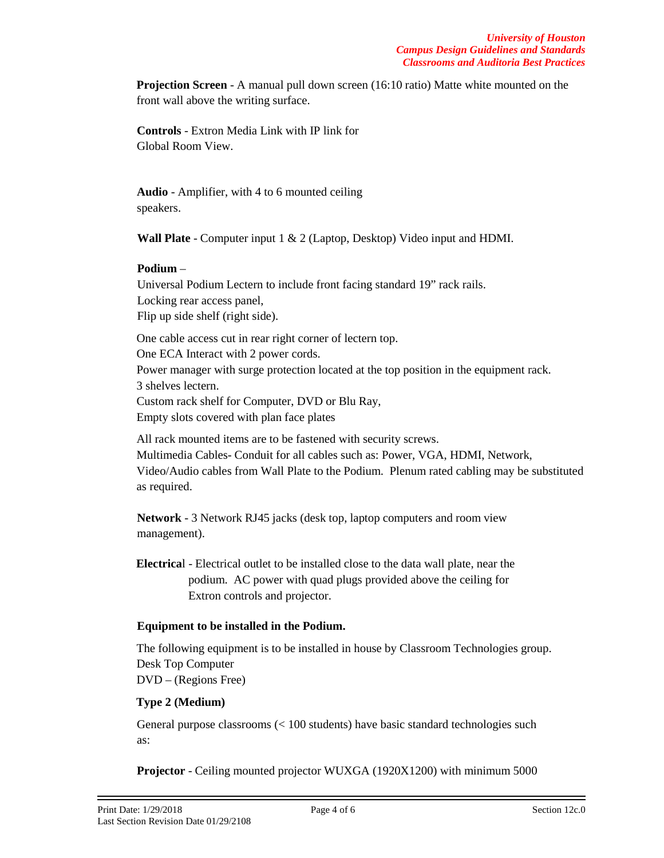**Projection Screen** - A manual pull down screen (16:10 ratio) Matte white mounted on the front wall above the writing surface.

**Controls** - Extron Media Link with IP link for Global Room View.

**Audio** - Amplifier, with 4 to 6 mounted ceiling speakers.

**Wall Plate** - Computer input 1 & 2 (Laptop, Desktop) Video input and HDMI.

## **Podium** –

Universal Podium Lectern to include front facing standard 19" rack rails. Locking rear access panel, Flip up side shelf (right side).

One cable access cut in rear right corner of lectern top. One ECA Interact with 2 power cords. Power manager with surge protection located at the top position in the equipment rack. 3 shelves lectern. Custom rack shelf for Computer, DVD or Blu Ray, Empty slots covered with plan face plates

All rack mounted items are to be fastened with security screws. Multimedia Cables- Conduit for all cables such as: Power, VGA, HDMI, Network, Video/Audio cables from Wall Plate to the Podium. Plenum rated cabling may be substituted as required.

**Network** - 3 Network RJ45 jacks (desk top, laptop computers and room view management).

**Electrica**l - Electrical outlet to be installed close to the data wall plate, near the podium. AC power with quad plugs provided above the ceiling for Extron controls and projector.

## **Equipment to be installed in the Podium.**

The following equipment is to be installed in house by Classroom Technologies group. Desk Top Computer DVD – (Regions Free)

## **Type 2 (Medium)**

General purpose classrooms (< 100 students) have basic standard technologies such as:

**Projector** - Ceiling mounted projector WUXGA (1920X1200) with minimum 5000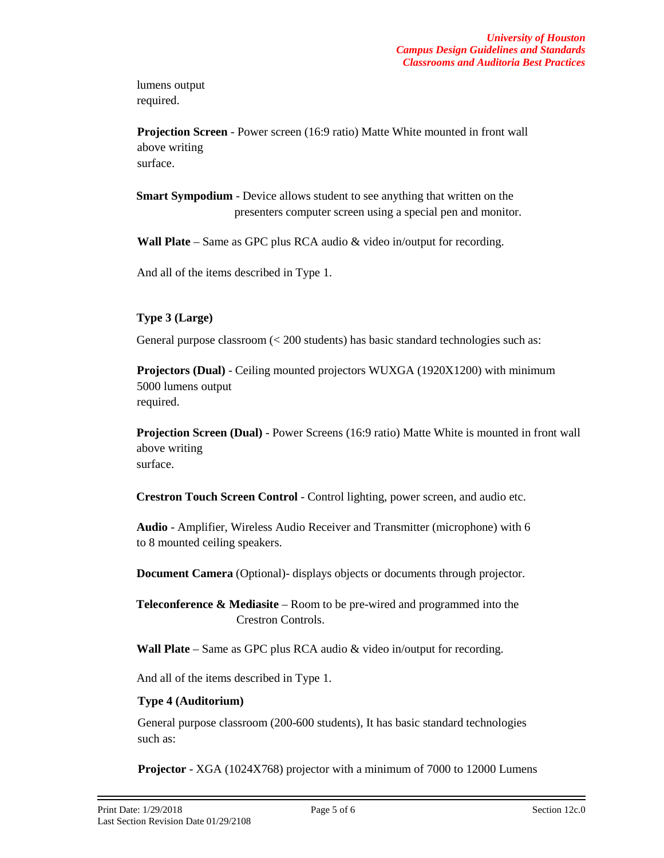lumens output required.

**Projection Screen** - Power screen (16:9 ratio) Matte White mounted in front wall above writing surface.

**Smart Sympodium** - Device allows student to see anything that written on the presenters computer screen using a special pen and monitor.

**Wall Plate** – Same as GPC plus RCA audio & video in/output for recording.

And all of the items described in Type 1.

## **Type 3 (Large)**

General purpose classroom (< 200 students) has basic standard technologies such as:

**Projectors (Dual)** - Ceiling mounted projectors WUXGA (1920X1200) with minimum 5000 lumens output required.

**Projection Screen (Dual)** - Power Screens (16:9 ratio) Matte White is mounted in front wall above writing surface.

**Crestron Touch Screen Control** - Control lighting, power screen, and audio etc.

**Audio** - Amplifier, Wireless Audio Receiver and Transmitter (microphone) with 6 to 8 mounted ceiling speakers.

**Document Camera** (Optional)- displays objects or documents through projector.

**Teleconference & Mediasite** – Room to be pre-wired and programmed into the Crestron Controls.

**Wall Plate** – Same as GPC plus RCA audio & video in/output for recording.

And all of the items described in Type 1.

#### **Type 4 (Auditorium)**

General purpose classroom (200-600 students), It has basic standard technologies such as:

**Projector** - XGA (1024X768) projector with a minimum of 7000 to 12000 Lumens